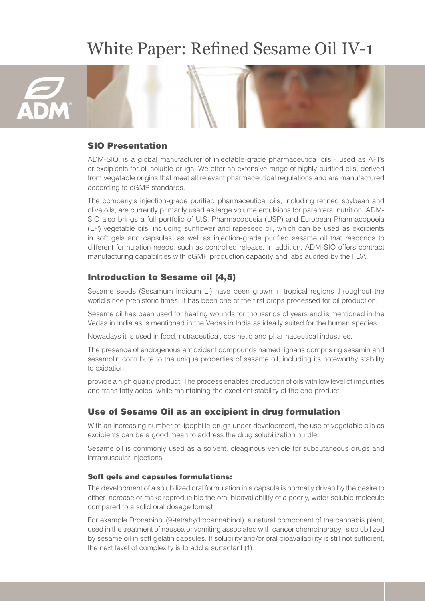# White Paper: Refined Sesame Oil IV-1



#### SIO Presentation

ADM-SIO, is a global manufacturer of injectable-grade pharmaceutical oils - used as API's or excipients for oil-soluble drugs. We offer an extensive range of highly purified oils, derived from vegetable origins that meet all relevant pharmaceutical regulations and are manufactured according to cGMP standards.

The company's injection-grade purified pharmaceutical oils, including refined soybean and olive oils, are currently primarily used as large volume emulsions for parenteral nutrition. ADM-SIO also brings a full portfolio of U.S. Pharmacopoeia (USP) and European Pharmacopoeia (EP) vegetable oils, including sunflower and rapeseed oil, which can be used as excipients in soft gels and capsules, as well as injection-grade purified sesame oil that responds to different formulation needs, such as controlled release. In addition, ADM-SIO offers contract manufacturing capabilities with cGMP production capacity and labs audited by the FDA.

### Introduction to Sesame oil (4,5)

Sesame seeds (Sesamum indicum L.) have been grown in tropical regions throughout the world since prehistoric times. It has been one of the first crops processed for oil production.

Sesame oil has been used for healing wounds for thousands of years and is mentioned in the Vedas in India as is mentioned in the Vedas in India as ideally suited for the human species.

Nowadays it is used in food, nutraceutical, cosmetic and pharmaceutical industries.

The presence of endogenous antioxidant compounds named lignans comprising sesamin and sesamolin contribute to the unique properties of sesame oil, including its noteworthy stability to oxidation.

provide a high quality product. The process enables production of oils with low level of impurities and trans fatty acids, while maintaining the excellent stability of the end product.

#### Use of Sesame Oil as an excipient in drug formulation

With an increasing number of lipophilic drugs under development, the use of vegetable oils as excipients can be a good mean to address the drug solubilization hurdle.

Sesame oil is commonly used as a solvent, oleaginous vehicle for subcutaneous drugs and intramuscular injections.

#### Soft gels and capsules formulations:

The development of a solubilized oral formulation in a capsule is normally driven by the desire to either increase or make reproducible the oral bioavailability of a poorly, water-soluble molecule compared to a solid oral dosage format.

For example Dronabinol (9-tetrahydrocannabinol), a natural component of the cannabis plant, used in the treatment of nausea or vomiting associated with cancer chemotherapy, is solubilized by sesame oil in soft gelatin capsules. If solubility and/or oral bioavailability is still not sufficient, the next level of complexity is to add a surfactant (1).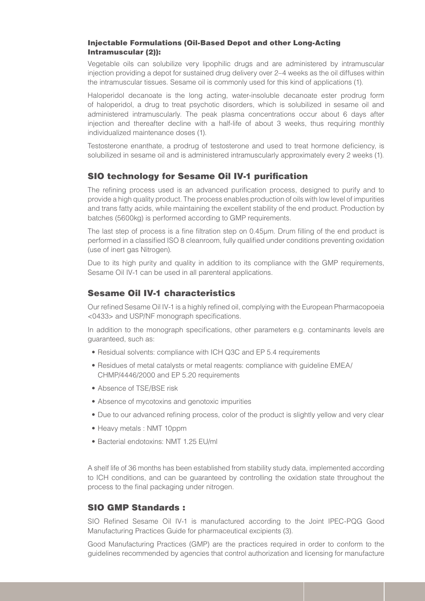#### Injectable Formulations (Oil-Based Depot and other Long-Acting Intramuscular (2)):

Vegetable oils can solubilize very lipophilic drugs and are administered by intramuscular injection providing a depot for sustained drug delivery over 2–4 weeks as the oil diffuses within the intramuscular tissues. Sesame oil is commonly used for this kind of applications (1).

Haloperidol decanoate is the long acting, water-insoluble decanoate ester prodrug form of haloperidol, a drug to treat psychotic disorders, which is solubilized in sesame oil and administered intramuscularly. The peak plasma concentrations occur about 6 days after injection and thereafter decline with a half-life of about 3 weeks, thus requiring monthly individualized maintenance doses (1).

Testosterone enanthate, a prodrug of testosterone and used to treat hormone deficiency, is solubilized in sesame oil and is administered intramuscularly approximately every 2 weeks (1).

## SIO technology for Sesame Oil IV-1 purification

The refining process used is an advanced purification process, designed to purify and to provide a high quality product. The process enables production of oils with low level of impurities and trans fatty acids, while maintaining the excellent stability of the end product. Production by batches (5600kg) is performed according to GMP requirements.

The last step of process is a fine filtration step on 0.45µm. Drum filling of the end product is performed in a classified ISO 8 cleanroom, fully qualified under conditions preventing oxidation (use of inert gas Nitrogen).

Due to its high purity and quality in addition to its compliance with the GMP requirements, Sesame Oil IV-1 can be used in all parenteral applications.

## Sesame Oil IV-1 characteristics

Our refined Sesame Oil IV-1 is a highly refined oil, complying with the European Pharmacopoeia <0433> and USP/NF monograph specifications.

In addition to the monograph specifications, other parameters e.g. contaminants levels are guaranteed, such as:

- Residual solvents: compliance with ICH Q3C and EP 5.4 requirements
- Residues of metal catalysts or metal reagents: compliance with guideline EMEA/ CHMP/4446/2000 and EP 5.20 requirements
- Absence of TSE/BSE risk
- Absence of mycotoxins and genotoxic impurities
- Due to our advanced refining process, color of the product is slightly yellow and very clear
- Heavy metals : NMT 10ppm
- Bacterial endotoxins: NMT 1.25 EU/ml

A shelf life of 36 months has been established from stability study data, implemented according to ICH conditions, and can be guaranteed by controlling the oxidation state throughout the process to the final packaging under nitrogen.

### SIO GMP Standards :

SIO Refined Sesame Oil IV-1 is manufactured according to the Joint IPEC-PQG Good Manufacturing Practices Guide for pharmaceutical excipients (3).

Good Manufacturing Practices (GMP) are the practices required in order to conform to the guidelines recommended by agencies that control authorization and licensing for manufacture